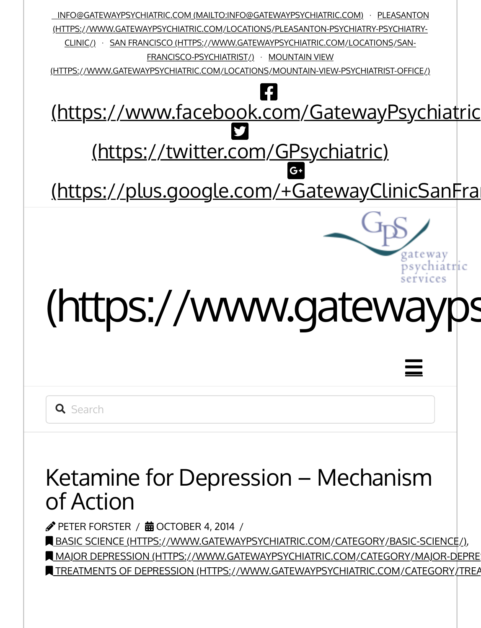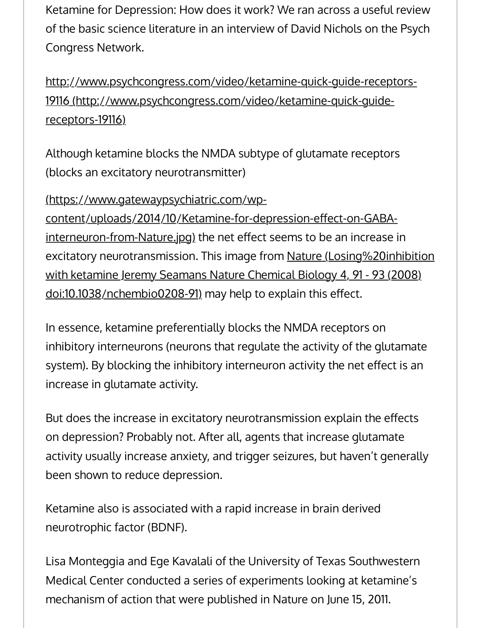Ketamine for Depression: How does it work? We ran across a useful review of the basic science literature in an interview of David Nichols on the Psych Congress Network.

[http://www.psychcongress.com/video/ketamine-quick-guide-receptors-](http://www.psychcongress.com/video/ketamine-quick-guide-receptors-19116)19116 (http://www.psychcongress.com/video/ketamine-quick-guidereceptors-19116)

Although ketamine blocks the NMDA subtype of glutamate receptors (blocks an excitatory neurotransmitter)

(https://www.gatewaypsychiatric.com/wpcontent/uploads/2014/10/Ketamine-for-depression-effect-on-GABAinterneuron-from-Nature.jpg) the net effect seems to be an increase in [excitatory neurotransmission. This image from Nature \(Losing%20inhibition](https://www.gatewaypsychiatric.com/ketamine-depression-mechanism-action/Losing%20inhibition%20with%20ketamine%20Jeremy%20Seamans%20Nature%20Chemical%20Biology%204,%2091%20-%2093%20(2008)%20doi:10.1038/nchembio0208-91) with ketamine Jeremy Seamans Nature Chemical Biology 4, 91 - 93 (2008) doi:10.1038/nchembio0208-91) may help to explain this effect.

In essence, ketamine preferentially blocks the NMDA receptors on inhibitory interneurons (neurons that regulate the activity of the glutamate system). By blocking the inhibitory interneuron activity the net effect is an increase in glutamate activity.

But does the increase in excitatory neurotransmission explain the effects on depression? Probably not. After all, agents that increase glutamate activity usually increase anxiety, and trigger seizures, but haven't generally been shown to reduce depression.

Ketamine also is associated with a rapid increase in brain derived neurotrophic factor (BDNF).

Lisa Monteggia and Ege Kavalali of the University of Texas Southwestern Medical Center conducted a series of experiments looking at ketamine's mechanism of action that were published in Nature on June 15, 2011.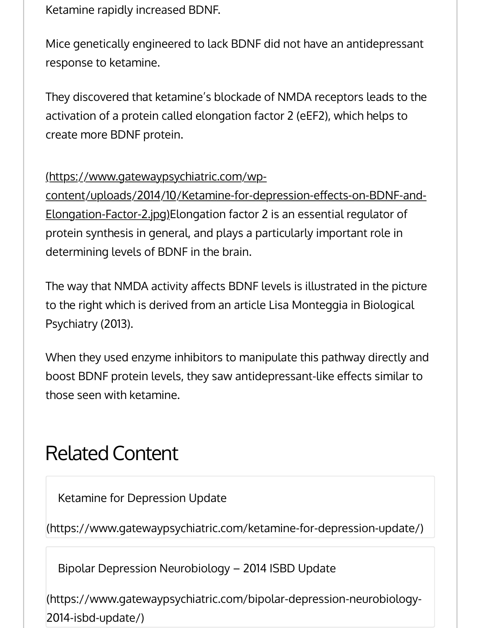Ketamine rapidly increased BDNF.

Mice genetically engineered to lack BDNF did not have an antidepressant response to ketamine.

They discovered that ketamine's blockade of NMDA receptors leads to the activation of a protein called elongation factor 2 (eEF2), which helps to create more BDNF protein.

# (https://www.gatewaypsychiatric.com/wp-

content/uploads/2014/10/Ketamine-for-depression-effects-on-BDNF-and-Elongation-Factor-2.jpg)Elongation factor 2 is an essential regulator of protein synthesis in general, and plays a particularly important role in determining levels of BDNF in the brain.

The way that NMDA activity affects BDNF levels is illustrated in the picture to the right which is derived from an article Lisa Monteggia in Biological Psychiatry (2013).

When they used enzyme inhibitors to manipulate this pathway directly and boost BDNF protein levels, they saw antidepressant-like effects similar to those seen with ketamine.

# Related Content

[Ketamine for Depression Update](https://www.gatewaypsychiatric.com/ketamine-for-depression-update/)

(https://www.gatewaypsychiatric.com/ketamine-for-depression-update/)

Bipolar Depression Neurobiology – 2014 ISBD Update

[\(https://www.gatewaypsychiatric.com/bipolar-depression-neurobiology-](https://www.gatewaypsychiatric.com/bipolar-depression-neurobiology-2014-isbd-update/)2014-isbd-update/)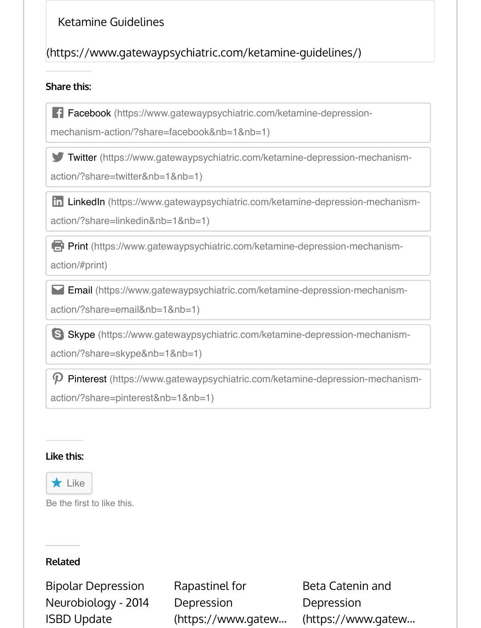# [Ketamine Guidelines](https://www.gatewaypsychiatric.com/ketamine-guidelines/)

# (https://www.gatewaypsychiatric.com/ketamine-guidelines/)

#### **Share this:**

[Facebook \(https://www.gatewaypsychiatric.com/ketamine-depression-](https://www.gatewaypsychiatric.com/ketamine-depression-mechanism-action/?share=facebook&nb=1&nb=1)

mechanism-action/?share=facebook&nb=1&nb=1)

[Twitter \(https://www.gatewaypsychiatric.com/ketamine-depression-mechanism-](https://www.gatewaypsychiatric.com/ketamine-depression-mechanism-action/?share=twitter&nb=1&nb=1)

action/?share=twitter&nb=1&nb=1)

[LinkedIn \(https://www.gatewaypsychiatric.com/ketamine-depression-mechanism-](https://www.gatewaypsychiatric.com/ketamine-depression-mechanism-action/?share=linkedin&nb=1&nb=1)

action/?share=linkedin&nb=1&nb=1)

[Print \(https://www.gatewaypsychiatric.com/ketamine-depression-mechanism-](https://www.gatewaypsychiatric.com/ketamine-depression-mechanism-action/#print)

action/#print)

[Email \(https://www.gatewaypsychiatric.com/ketamine-depression-mechanism-](https://www.gatewaypsychiatric.com/ketamine-depression-mechanism-action/?share=email&nb=1&nb=1)

action/?share=email&nb=1&nb=1)

[Skype \(https://www.gatewaypsychiatric.com/ketamine-depression-mechanism-](https://www.gatewaypsychiatric.com/ketamine-depression-mechanism-action/?share=skype&nb=1&nb=1)

action/?share=skype&nb=1&nb=1)

[Pinterest \(https://www.gatewaypsychiatric.com/ketamine-depression-mechanism-](https://www.gatewaypsychiatric.com/ketamine-depression-mechanism-action/?share=pinterest&nb=1&nb=1)

action/?share=pinterest&nb=1&nb=1)

#### **[Like this:](https://widgets.wp.com/likes/#)**



Be the first to like this.

## **Related**

[Bipolar Depression](https://www.gatewaypsychiatric.com/bipolar-depression-neurobiology-2014-isbd-update/) Neurobiology - 2014 ISBD Update

[Rapastinel for](https://www.gatewaypsychiatric.com/rapastinel-for-depression/) Depression (https://www.gatew… [Beta Catenin and](https://www.gatewaypsychiatric.com/beta-catenin-depression/) Depression (https://www.gatew…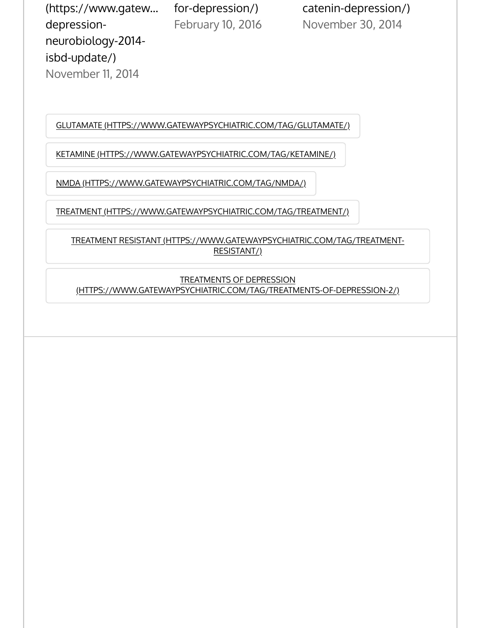[\(https://www.gatew…](https://www.gatewaypsychiatric.com/bipolar-depression-neurobiology-2014-isbd-update/) for-depression/) catenin-depression/) depressionneurobiology-2014 isbd-update/) November 11, 2014

February 10, 2016 November 30, 2014

[GLUTAMATE \(HTTPS://WWW.GATEWAYPSYCHIATRIC.COM/TAG/GLUTAMATE/](https://www.gatewaypsychiatric.com/tag/ketamine/))

[KETAMINE \(HTTPS://WWW.GATEWAYPSYCHIATRIC.COM/TAG/KETAM](https://www.gatewaypsychiatric.com/tag/nmda/)INE/)

[NMDA \(HTTPS://WWW.GATEWAYPSYCHIATRIC.COM/TAG/NMDA/\)](https://www.gatewaypsychiatric.com/tag/treatment/)

[TREATMENT \(HTTPS://WWW.GATEWAYPSYCHIATRIC.COM/TAG/TREATMENT/\)](https://www.gatewaypsychiatric.com/tag/treatment-resistant/)

TREATMENT RESISTANT (HTTPS://WWW.GATEWAYPSYCHIATRIC.COM/TAG/TREATMENT-RESISTANT/)

[TREATMENTS OF DEPRESSION](https://www.gatewaypsychiatric.com/tag/treatments-of-depression-2/) (HTTPS://WWW.GATEWAYPSYCHIATRIC.COM/TAG/TREATMENTS-OF-DEPRESSION-2/)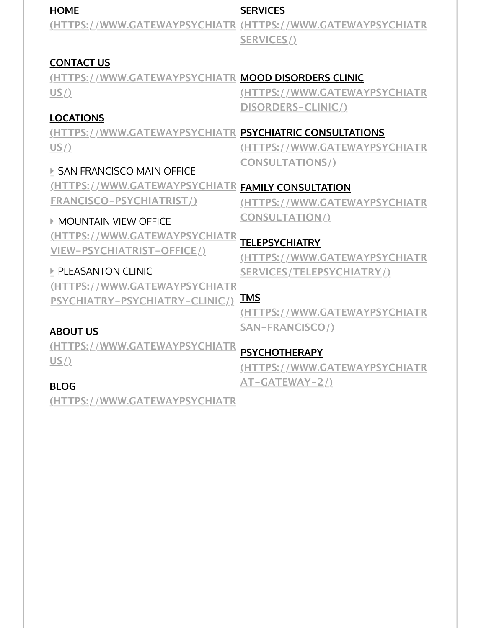| <b>HOME</b>                                             | <b>SERVICES</b>                                             |
|---------------------------------------------------------|-------------------------------------------------------------|
|                                                         | (HTTPS://WWW.GATEWAYPSYCHIATR (HTTPS://WWW.GATEWAYPSYCHIATR |
|                                                         | <b>SERVICES/)</b>                                           |
|                                                         |                                                             |
| <b>CONTACT US</b>                                       |                                                             |
| (HTTPS://WWW.GATEWAYPSYCHIATR MOOD DISORDERS CLINIC     |                                                             |
| US/                                                     | (HTTPS://WWW.GATEWAYPSYCHIATR                               |
|                                                         | DISORDERS-CLINIC/)                                          |
| <b>LOCATIONS</b>                                        |                                                             |
| (HTTPS://WWW.GATEWAYPSYCHIATR PSYCHIATRIC CONSULTATIONS |                                                             |
| $US/$ )                                                 | (HTTPS://WWW.GATEWAYPSYCHIATR                               |
|                                                         | <b>CONSULTATIONS/)</b>                                      |
| SAN FRANCISCO MAIN OFFICE                               |                                                             |
| (HTTPS://WWW.GATEWAYPSYCHIATR FAMILY CONSULTATION       |                                                             |
| <b>FRANCISCO-PSYCHIATRIST/)</b>                         | (HTTPS://WWW.GATEWAYPSYCHIATR                               |
| <b>MOUNTAIN VIEW OFFICE</b>                             | <b>CONSULTATION/)</b>                                       |
| (HTTPS://WWW.GATEWAYPSYCHIATR                           |                                                             |
| VIEW-PSYCHIATRIST-OFFICE/)                              | <b>TELEPSYCHIATRY</b>                                       |
|                                                         | (HTTPS://WWW.GATEWAYPSYCHIATR                               |
| <b>PLEASANTON CLINIC</b>                                | SERVICES/TELEPSYCHIATRY/)                                   |
| (HTTPS://WWW.GATEWAYPSYCHIATR                           |                                                             |
| PSYCHIATRY-PSYCHIATRY-CLINIC/)                          | <b>TMS</b>                                                  |
|                                                         | (HTTPS://WWW.GATEWAYPSYCHIATR                               |
| <b>ABOUT US</b>                                         | SAN-FRANCISCO/)                                             |
| (UTTDC://WAAAN/CATEWAVDCVCUIATD)                        |                                                             |

**COMPAREMATEWAYPSYCHIATR [US/\)](https://www.gatewaypsychiatric.com/blog/)**

**PSYCHOTHERAPY**

**[\(HTTPS://WWW.GATEWAYPSYCHIATR](https://www.gatewaypsychiatric.com/psychotherapy-at-gateway-2/)IC.COM/PSYCHOTHERAPY-AT-GATEWAY-2/)**

# **BLOG**

**(HTTPS://WWW.GATEWAYPSYCHIATRIC.COM/BLOG/)**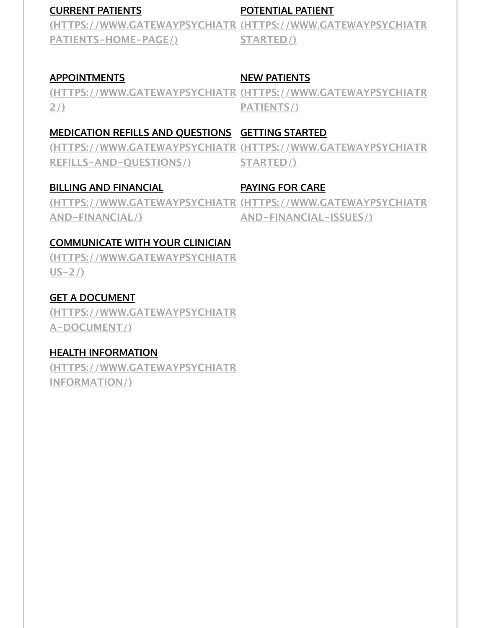### **[CURRENT PATIENTS](https://www.gatewaypsychiatric.com/current-patients-home-page/)**

#### **[POTENTIAL PATIENT](https://www.gatewaypsychiatric.com/getting-started/)**

<u>(HTTPS://WWW.GATEWAYPSYCHIATR\_(HTTPS://WWW.GATEWAYPSYCHIATR</u>\_\_\_\_\_\_\_\_\_\_\_\_\_\_\_\_\_\_\_\_\_ **PATIENTS-HOME-PAGE/) STARTED/)**

## **APPOINTMENTS**

## **NEW PATIENTS**

<u>[\(HTTPS://WWW.GATEWAYPSYCHIATR](https://www.gatewaypsychiatric.com/new-patients/)\_(HTTPS://WWW.GATEWAYPSYCHIATR</u> **2/) PATIENTS/)**

# **[MEDICATION REFILLS AND QUESTIONS](https://www.gatewaypsychiatric.com/medication-refills-and-questions/) GETTING STARTED**

**[REFILLS-AND-QUESTIONS/\)](https://www.gatewaypsychiatric.com/billing-and-financial/)**

<u>[\(HTTPS://WWW.GATEWAYPSYCHIATR](https://www.gatewaypsychiatric.com/getting-started/)\_(HTTPS://WWW.GATEWAYPSYCHIATR\_</u>\_\_\_\_\_\_\_\_\_\_\_\_\_\_\_\_\_\_\_\_ **STARTED/)**

## **BILLING AND FINANCIAL**

## **PAYING FOR CARE**

<u>[\(HTTPS://WWW.GATEWAYPSYCHIATR](https://www.gatewaypsychiatric.com/billing-and-financial-issues/)\_(HTTPS://WWW.GATEWAYPSYCHIATR\_</u>\_\_\_\_\_\_\_\_\_\_\_\_\_\_\_\_\_\_\_\_ **AND-FINANCIAL/) AND-FINANCIAL-ISSUES/)**

#### **[COMMUNICATE WITH YOUR CLINICIAN](https://www.gatewaypsychiatric.com/contact-us-2/)**

**(HTTPS://WWW.GATEWAYPSYCHIATR US-2/)**

## **GET A DOCUMENT**

**[\(HTTPS://WWW.GATEWAYPSYCHIATRI](https://www.gatewaypsychiatric.com/get-a-document/)C.COM/GET-A-DOCUMENT/)**

## **[HEALTH INFORMATION](https://www.gatewaypsychiatric.com/health-information/)**

(HTTPS://WWW.GATEWAYPSYCHIATR **INFORMATION/)**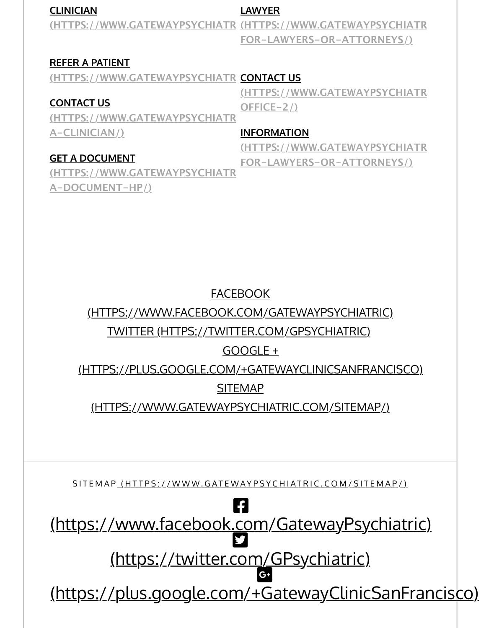#### **[CLINICIAN](https://www.gatewaypsychiatric.com/collaborate/)**

#### **LAWYER**

<u>[\(HTTPS://WWW.GATEWAYPSYCHIATR](https://www.gatewaypsychiatric.com/information-for-lawyers-or-attorneys/)\_(HTTPS://WWW.GATEWAYPSYCHIATR\_</u>\_\_\_\_\_\_\_\_\_\_\_\_\_\_\_\_\_\_\_\_ **FOR-LAWYERS-OR-ATTORNEYS/)**

#### **[REFER A PATIENT](https://www.gatewaypsychiatric.com/collaborate/)**

<u>(HTTPS://WWW.GATEWAYPSYCHIATR\_**CONTACT US**</u>

#### **CONTACT US**

**(HTTPS://WWW.GATEWAYPSYCHIATRI[C.COM/CONTACT-](https://www.gatewaypsychiatric.com/information-for-lawyers-or-attorneys/)A-CLINICIAN/) OFFICE-2/)**

#### **INFORMATION**

(HTTPS://WWW.GATEWAYPSYCHIATR **FOR-LAWYERS-OR-ATTORNEYS/)**

**(HTTPS://WWW.GATEWAYPSYCHIATR** 

#### **GET A DOCUMENT**

**[\(HTTPS://WWW.GATEWAYPSYCHIATRI](https://www.gatewaypsychiatric.com/get-a-document-hp/)C.COM/GET-A-DOCUMENT-HP/)**

# [FACEBOOK](https://www.facebook.com/GatewayPsychiatric)

(HT[TPS://WWW.FACEBOOK.COM/GATEWAYPSYCHIAT](https://twitter.com/GPsychiatric)RIC)

# [TWITTER \(HTTPS://TWITTER.COM/GPSYCHIATRIC\)](https://plus.google.com/+GatewayClinicSanFrancisco)

# GOOGLE +

(H[TTPS://PLUS.GOOGLE.COM/+GATEWAYCLINICSANFRANC](https://www.gatewaypsychiatric.com/sitemap/)ISCO)

# SITEMAP

(HTTPS://WWW.GATEWAYPSYCHIATRIC.COM/SITEMAP/)

[SITEMAP \(HTTPS://WWW.GATEWAYPSYCHIATRIC.COM/SITEMAP/\)](https://www.facebook.com/GatewayPsychiatric)

6 (https:/[/www.facebook.com/GatewayPsy](https://twitter.com/GPsychiatric)chiatric)

[\(https://twitter.com/GPsychiatric\)](https://plus.google.com/+GatewayClinicSanFrancisco) #

(https://plus.google.com/+GatewayClinicSanFrancisco)